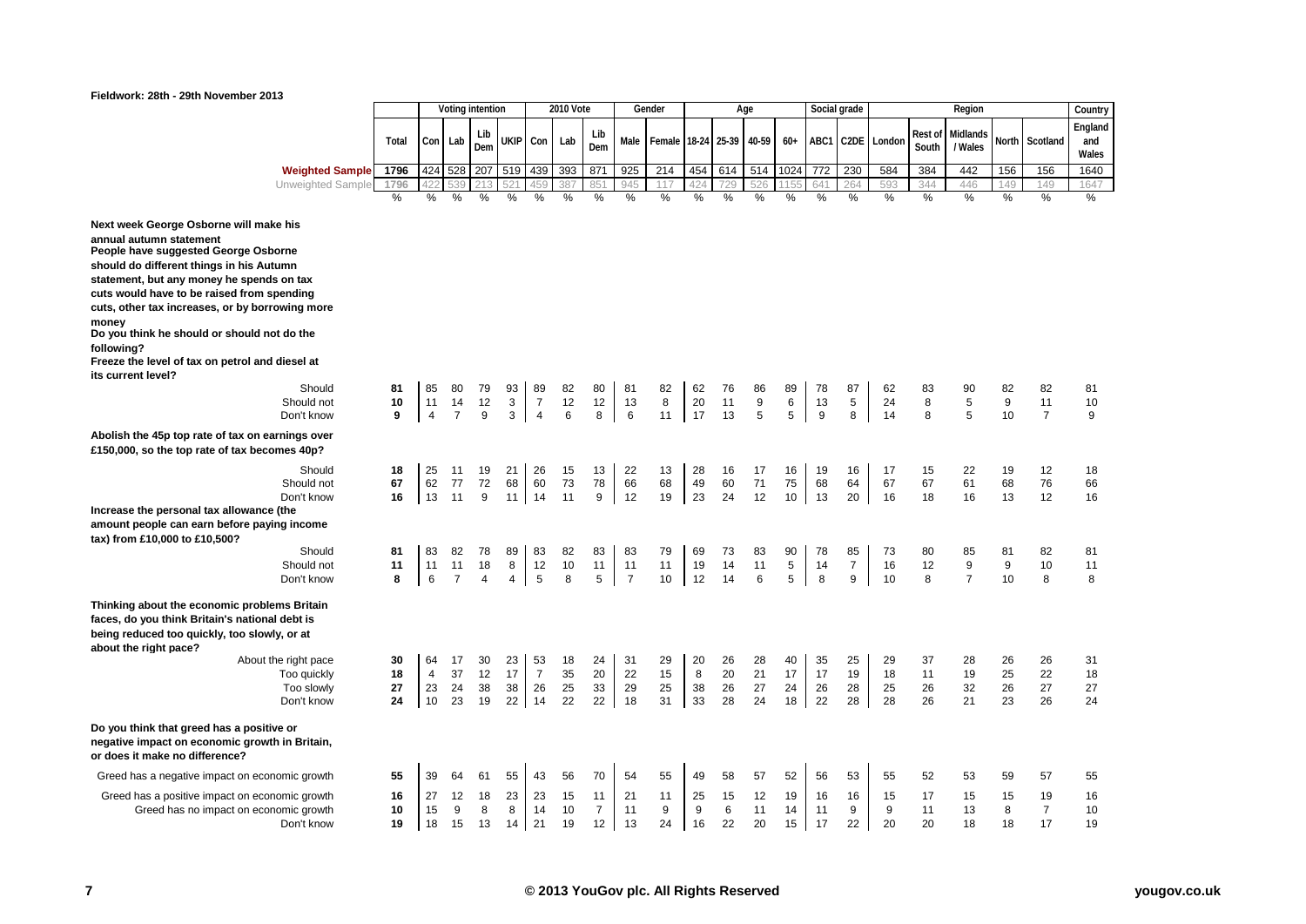# **Fieldwork: 28th - 29th November 2013**

|                                                                                                |         |                      |                      | Voting intention |        |                                  | 2010 Vote |                |                | Gender  |          |             | Age    |             |         | Social grade      |          |                 | Region              |         |                      | Country |
|------------------------------------------------------------------------------------------------|---------|----------------------|----------------------|------------------|--------|----------------------------------|-----------|----------------|----------------|---------|----------|-------------|--------|-------------|---------|-------------------|----------|-----------------|---------------------|---------|----------------------|---------|
|                                                                                                |         |                      |                      |                  |        |                                  |           |                |                |         |          |             |        |             |         |                   |          |                 |                     |         |                      | England |
|                                                                                                | Total   |                      | Con Lab              | Lib<br>Dem       | ukip   | Con                              | Lab       | Lib<br>Dem     | Male           | Female  | 18-24    | 25-39 40-59 |        | $60+$       | ABC1    | C <sub>2</sub> DE | London   | Rest o<br>South | Midlands<br>/ Wales | North   | Scotland             | and     |
|                                                                                                |         |                      |                      |                  |        |                                  |           |                |                |         |          |             |        |             |         |                   |          |                 |                     |         |                      | Wales   |
| <b>Weighted Sample</b>                                                                         | 1796    | 424                  | 528                  | 207              | 519    | 439                              | 393       | 871            | 925            | 214     | 454      | 614         | 514    | 1024        | 772     | 230               | 584      | 384             | 442                 | 156     | 156                  | 1640    |
| Unweighted Sample                                                                              | 1796    |                      |                      |                  |        |                                  | 387       | 85'            | 945            | 117     | 42       | 729         | 526    | 115         | 641     | 264               | 593      | 344             | 446                 | 149     | 149                  | 1647    |
|                                                                                                | %       | $\%$                 | $\%$                 | %                | %      | %                                | %         | $\%$           | %              | $\%$    | %        | %           | $\%$   | %           | %       | %                 | %        | %               | $\%$                | %       | $\%$                 | $\%$    |
| Next week George Osborne will make his                                                         |         |                      |                      |                  |        |                                  |           |                |                |         |          |             |        |             |         |                   |          |                 |                     |         |                      |         |
| annual autumn statement                                                                        |         |                      |                      |                  |        |                                  |           |                |                |         |          |             |        |             |         |                   |          |                 |                     |         |                      |         |
| People have suggested George Osborne                                                           |         |                      |                      |                  |        |                                  |           |                |                |         |          |             |        |             |         |                   |          |                 |                     |         |                      |         |
| should do different things in his Autumn                                                       |         |                      |                      |                  |        |                                  |           |                |                |         |          |             |        |             |         |                   |          |                 |                     |         |                      |         |
| statement, but any money he spends on tax                                                      |         |                      |                      |                  |        |                                  |           |                |                |         |          |             |        |             |         |                   |          |                 |                     |         |                      |         |
| cuts would have to be raised from spending                                                     |         |                      |                      |                  |        |                                  |           |                |                |         |          |             |        |             |         |                   |          |                 |                     |         |                      |         |
| cuts, other tax increases, or by borrowing more                                                |         |                      |                      |                  |        |                                  |           |                |                |         |          |             |        |             |         |                   |          |                 |                     |         |                      |         |
| money<br>Do you think he should or should not do the                                           |         |                      |                      |                  |        |                                  |           |                |                |         |          |             |        |             |         |                   |          |                 |                     |         |                      |         |
| following?                                                                                     |         |                      |                      |                  |        |                                  |           |                |                |         |          |             |        |             |         |                   |          |                 |                     |         |                      |         |
| Freeze the level of tax on petrol and diesel at                                                |         |                      |                      |                  |        |                                  |           |                |                |         |          |             |        |             |         |                   |          |                 |                     |         |                      |         |
| its current level?                                                                             |         |                      |                      |                  |        |                                  |           |                |                |         |          |             |        |             |         |                   |          |                 |                     |         |                      |         |
| Should                                                                                         | 81      | 85                   | 80                   | 79               | 93     | 89                               | 82        | 80             | 81             | 82      | 62       | 76          | 86     | 89          | 78      | 87                | 62       | 83              | 90                  | 82      | 82                   | 81      |
| Should not<br>Don't know                                                                       | 10<br>9 | 11<br>$\overline{4}$ | 14<br>$\overline{7}$ | 12<br>9          | 3<br>3 | $\overline{7}$<br>$\overline{4}$ | 12<br>6   | 12<br>8        | 13<br>6        | 8<br>11 | 20<br>17 | 11<br>13    | 9<br>5 | 6<br>5      | 13<br>9 | 5<br>8            | 24<br>14 | 8<br>8          | 5<br>5              | 9<br>10 | 11<br>$\overline{7}$ | 10<br>9 |
|                                                                                                |         |                      |                      |                  |        |                                  |           |                |                |         |          |             |        |             |         |                   |          |                 |                     |         |                      |         |
| Abolish the 45p top rate of tax on earnings over                                               |         |                      |                      |                  |        |                                  |           |                |                |         |          |             |        |             |         |                   |          |                 |                     |         |                      |         |
| £150,000, so the top rate of tax becomes 40p?                                                  |         |                      |                      |                  |        |                                  |           |                |                |         |          |             |        |             |         |                   |          |                 |                     |         |                      |         |
| Should                                                                                         | 18      | 25                   | 11                   | 19               | 21     | 26                               | 15        | 13             | 22             | 13      | 28       | 16          | 17     | 16          | 19      | 16                | 17       | 15              | 22                  | 19      | 12                   | 18      |
| Should not                                                                                     | 67      | 62                   | 77                   | 72               | 68     | 60                               | 73        | 78             | 66             | 68      | 49       | 60          | 71     | 75          | 68      | 64                | 67       | 67              | 61                  | 68      | 76                   | 66      |
| Don't know                                                                                     | 16      | 13                   | 11                   | 9                | 11     | 14                               | 11        | 9              | 12             | 19      | 23       | 24          | 12     | 10          | 13      | 20                | 16       | 18              | 16                  | 13      | 12                   | 16      |
| Increase the personal tax allowance (the<br>amount people can earn before paying income        |         |                      |                      |                  |        |                                  |           |                |                |         |          |             |        |             |         |                   |          |                 |                     |         |                      |         |
| tax) from £10,000 to £10,500?                                                                  |         |                      |                      |                  |        |                                  |           |                |                |         |          |             |        |             |         |                   |          |                 |                     |         |                      |         |
| Should                                                                                         | 81      | 83                   | 82                   | 78               | 89     | 83                               | 82        | 83             | 83             | 79      | 69       | 73          | 83     | 90          | 78      | 85                | 73       | 80              | 85                  | 81      | 82                   | 81      |
| Should not                                                                                     | 11      | 11                   | 11                   | 18               | 8      | 12                               | 10        | 11             | 11             | 11      | 19       | 14          | 11     | $\,$ 5 $\,$ | 14      | $\overline{7}$    | 16       | 12              | 9                   | 9       | 10                   | 11      |
| Don't know                                                                                     | 8       | 6                    | $\overline{7}$       | $\overline{4}$   | 4      | 5                                | 8         | 5              | $\overline{7}$ | 10      | 12       | 14          | 6      | 5           | 8       | 9                 | 10       | 8               | $\overline{7}$      | 10      | 8                    | 8       |
|                                                                                                |         |                      |                      |                  |        |                                  |           |                |                |         |          |             |        |             |         |                   |          |                 |                     |         |                      |         |
| Thinking about the economic problems Britain<br>faces, do you think Britain's national debt is |         |                      |                      |                  |        |                                  |           |                |                |         |          |             |        |             |         |                   |          |                 |                     |         |                      |         |
| being reduced too quickly, too slowly, or at                                                   |         |                      |                      |                  |        |                                  |           |                |                |         |          |             |        |             |         |                   |          |                 |                     |         |                      |         |
| about the right pace?                                                                          |         |                      |                      |                  |        |                                  |           |                |                |         |          |             |        |             |         |                   |          |                 |                     |         |                      |         |
| About the right pace                                                                           | 30      | 64                   | 17                   | 30               | 23     | 53                               | 18        | 24             | 31             | 29      | 20       | 26          | 28     | 40          | 35      | 25                | 29       | 37              | 28                  | 26      | 26                   | 31      |
| Too quickly                                                                                    | 18      | $\overline{4}$       | 37                   | 12               | 17     | $\overline{7}$                   | 35        | 20             | 22             | 15      | 8        | 20          | 21     | 17          | 17      | 19                | 18       | 11              | 19                  | 25      | 22                   | 18      |
| Too slowly                                                                                     | 27      | 23                   | 24                   | 38               | 38     | 26                               | 25        | 33             | 29             | 25      | 38       | 26          | 27     | 24          | 26      | 28                | 25       | 26              | 32                  | 26      | 27                   | 27      |
| Don't know                                                                                     | 24      | 10                   | 23                   | 19               | 22     | 14                               | 22        | 22             | 18             | 31      | 33       | 28          | 24     | 18          | 22      | 28                | 28       | 26              | 21                  | 23      | 26                   | 24      |
| Do you think that greed has a positive or                                                      |         |                      |                      |                  |        |                                  |           |                |                |         |          |             |        |             |         |                   |          |                 |                     |         |                      |         |
| negative impact on economic growth in Britain,                                                 |         |                      |                      |                  |        |                                  |           |                |                |         |          |             |        |             |         |                   |          |                 |                     |         |                      |         |
| or does it make no difference?                                                                 |         |                      |                      |                  |        |                                  |           |                |                |         |          |             |        |             |         |                   |          |                 |                     |         |                      |         |
| Greed has a negative impact on economic growth                                                 | 55      | 39                   | 64                   | 61               | 55     | 43                               | 56        | 70             | 54             | 55      | 49       | 58          | 57     | 52          | 56      | 53                | 55       | 52              | 53                  | 59      | 57                   | 55      |
| Greed has a positive impact on economic growth                                                 | 16      | 27                   | 12                   | 18               | 23     | 23                               | 15        | 11             | 21             | 11      | 25       | 15          | 12     | 19          | 16      | 16                | 15       | 17              | 15                  | 15      | 19                   | 16      |
| Greed has no impact on economic growth                                                         | 10      | 15                   | 9                    | 8                | 8      | 14                               | 10        | $\overline{7}$ | 11             | 9       | 9        | 6           | 11     | 14          | 11      | 9                 | 9        | 11              | 13                  | 8       | $\overline{7}$       | 10      |
| Don't know                                                                                     | 19      | 18                   | 15                   | 13               | 14     | 21                               | 19        | 12             | 13             | 24      | 16       | 22          | 20     | 15          | 17      | 22                | 20       | 20              | 18                  | 18      | 17                   | 19      |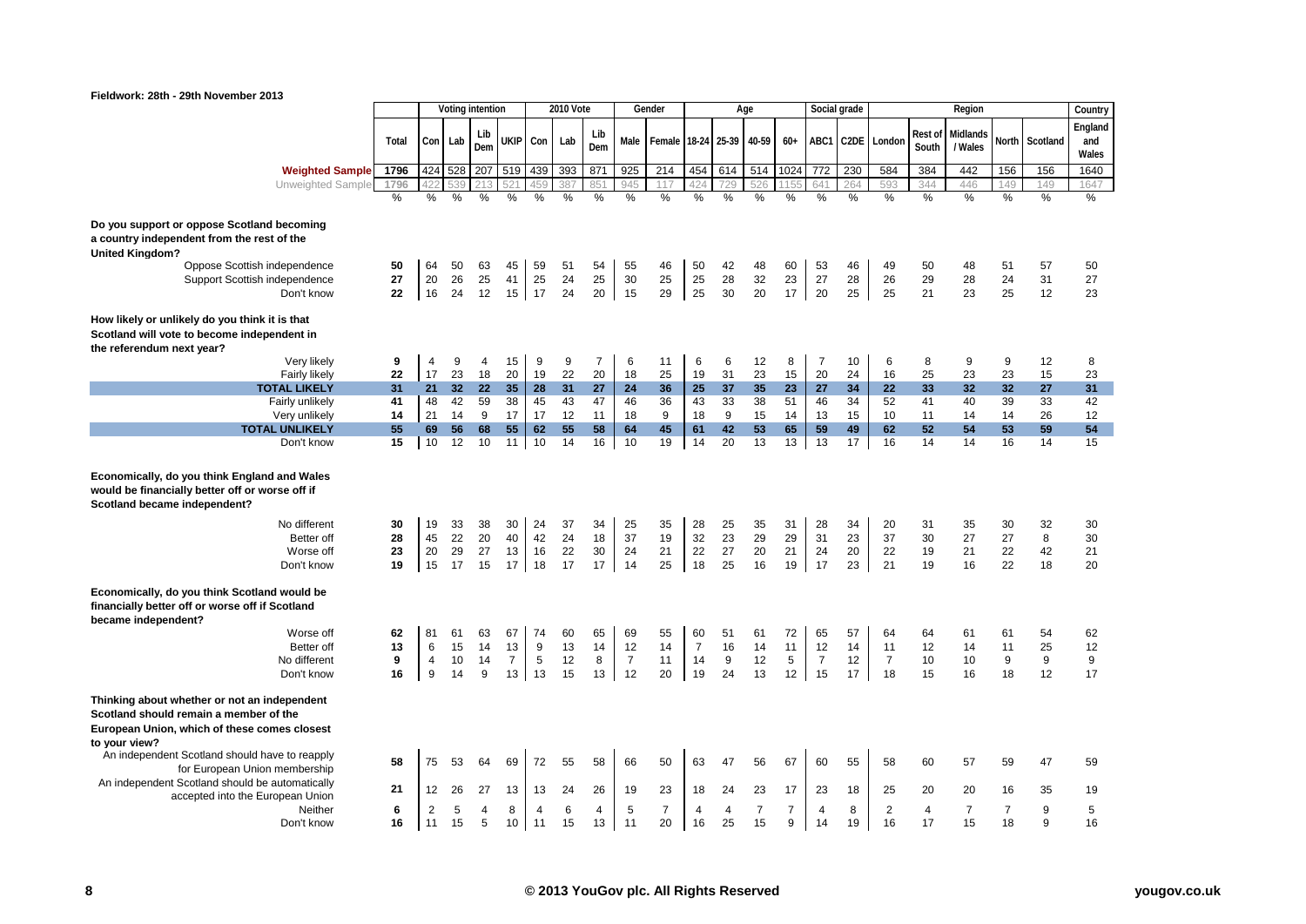

| Fieldwork: 28th - 29th November 2013                                                                                                                    |          |                |                  |            |                |            |           |                |                |                |                |                       |                   |                |                |              |                |          |                |                |                |              |
|---------------------------------------------------------------------------------------------------------------------------------------------------------|----------|----------------|------------------|------------|----------------|------------|-----------|----------------|----------------|----------------|----------------|-----------------------|-------------------|----------------|----------------|--------------|----------------|----------|----------------|----------------|----------------|--------------|
|                                                                                                                                                         |          |                | Voting intention |            |                |            | 2010 Vote |                |                | Gender         |                |                       | Age               |                |                | Social grade |                |          | Region         |                |                | Country      |
|                                                                                                                                                         |          |                |                  |            |                |            |           | Lib            |                |                |                |                       |                   |                |                |              |                | Rest of  | Midlands       |                |                | England      |
|                                                                                                                                                         | Total    |                | Con Lab          | Lib<br>Dem | <b>UKIP</b>    | Con        | Lab       | Dem            | Male           | Female         |                |                       | 18-24 25-39 40-59 | $60+$          | ABC1           |              | C2DE London    | South    | / Wales        |                | North Scotland | and<br>Wales |
| <b>Weighted Sample</b>                                                                                                                                  | 1796     |                | 424 528          | 207        | 519            | 439        | 393       | 871            | 925            | 214            | 454            | 614                   | 514               | 1024           | 772            | 230          | 584            | 384      | 442            | 156            | 156            | 1640         |
| Unweighted Sample                                                                                                                                       | 1796     |                |                  |            |                | 459        | 387       | 851            | 945            | 117            | 424            | 729                   | 526               |                | 641            | 264          | 593            | 344      | 446            | 149            | 149            | 1647         |
|                                                                                                                                                         | %        | %              | %                | %          | %              | %          | %         | $\frac{9}{6}$  | %              | $\frac{0}{6}$  | %              | %                     | $\frac{0}{6}$     | $\frac{0}{6}$  | %              | %            | $\frac{9}{6}$  | %        | %              | %              | %              | %            |
|                                                                                                                                                         |          |                |                  |            |                |            |           |                |                |                |                |                       |                   |                |                |              |                |          |                |                |                |              |
| Do you support or oppose Scotland becoming                                                                                                              |          |                |                  |            |                |            |           |                |                |                |                |                       |                   |                |                |              |                |          |                |                |                |              |
| a country independent from the rest of the<br><b>United Kingdom?</b>                                                                                    |          |                |                  |            |                |            |           |                |                |                |                |                       |                   |                |                |              |                |          |                |                |                |              |
| Oppose Scottish independence                                                                                                                            | 50       | 64             | 50               | 63         | 45             | 59         | 51        | 54             | 55             | 46             | 50             | 42                    | 48                | 60             | 53             | 46           | 49             | 50       | 48             | 51             | 57             | 50           |
| Support Scottish independence                                                                                                                           | 27       | 20             | 26               | 25         | 41             | 25         | 24        | 25             | 30             | 25             | 25             | 28                    | 32                | 23             | 27             | 28           | 26             | 29       | 28             | 24             | 31             | 27           |
| Don't know                                                                                                                                              | 22       | 16             | 24               | 12         |                | $15$ 17    | 24        | 20             | 15             | 29             | 25             | 30                    | 20                | 17             | 20             | 25           | 25             | 21       | 23             | 25             | 12             | 23           |
|                                                                                                                                                         |          |                |                  |            |                |            |           |                |                |                |                |                       |                   |                |                |              |                |          |                |                |                |              |
| How likely or unlikely do you think it is that<br>Scotland will vote to become independent in                                                           |          |                |                  |            |                |            |           |                |                |                |                |                       |                   |                |                |              |                |          |                |                |                |              |
| the referendum next year?                                                                                                                               |          |                |                  |            |                |            |           |                |                |                |                |                       |                   |                |                |              |                |          |                |                |                |              |
| Very likely                                                                                                                                             | 9        | $\overline{4}$ | 9                | 4          | 15             | 9          | 9         | $\overline{7}$ | 6              | 11             | 6              | 6                     | 12                | 8              | $\overline{7}$ | 10           | 6              | 8        | 9              | 9              | 12             | 8            |
| Fairly likely                                                                                                                                           | 22       | 17             | 23               | 18         | 20             | 19         | 22        | 20             | 18             | 25             | 19             | 31                    | 23                | 15             | 20             | 24           | 16             | 25       | 23             | 23             | 15             | 23           |
| <b>TOTAL LIKELY</b>                                                                                                                                     | 31       | 21             | 32 <sub>2</sub>  | 22         | 35             | 28         | 31        | 27             | 24             | 36             | 25             | 37                    | 35                | 23             | 27             | 34           | 22             | 33       | 32             | 32             | 27             | 31           |
| Fairly unlikely                                                                                                                                         | 41       | 48             | 42               | 59         | 38             | 45         | 43        | 47             | 46             | 36             | 43             | 33                    | 38                | 51             | 46             | 34           | 52             | 41       | 40             | 39             | 33             | 42           |
| Very unlikely                                                                                                                                           | 14       | 21             | 14               | 9          | 17             | 17         | 12        | 11             | 18             | 9              | 18             | 9                     | 15                | 14             | 13             | 15           | 10             | 11       | 14             | 14             | 26             | 12           |
| <b>TOTAL UNLIKELY</b><br>Don't know                                                                                                                     | 55<br>15 | 69<br>10       | 56<br>12         | 68<br>10   | 55<br>11       | 62<br>10   | 55<br>14  | 58<br>16       | 64<br>10       | 45<br>19       | 61<br>14       | 42<br>20              | 53<br>13          | 65<br>13       | 59<br>13       | 49<br>17     | 62<br>16       | 52<br>14 | 54<br>14       | 53<br>16       | 59<br>14       | 54<br>15     |
|                                                                                                                                                         |          |                |                  |            |                |            |           |                |                |                |                |                       |                   |                |                |              |                |          |                |                |                |              |
| Economically, do you think England and Wales<br>would be financially better off or worse off if<br>Scotland became independent?                         |          |                |                  |            |                |            |           |                |                |                |                |                       |                   |                |                |              |                |          |                |                |                |              |
| No different                                                                                                                                            | 30       | 19             | 33               | 38         | 30             | 24         | 37        | 34             | 25             | 35             | 28             | 25                    | 35                | 31             | 28             | 34           | 20             | 31       | 35             | 30             | 32             | 30           |
| Better off                                                                                                                                              | 28       | 45             | 22               | 20         | 40             | 42         | 24        | 18             | 37             | 19             | 32             | 23                    | 29                | 29             | 31             | 23           | 37             | 30       | 27             | 27             | 8              | 30           |
| Worse off                                                                                                                                               | 23       | 20             | 29               | 27         | 13             | 16         | 22        | 30             | 24             | 21             | 22             | 27                    | 20                | 21             | 24             | 20           | 22             | 19       | 21             | 22             | 42             | 21           |
| Don't know                                                                                                                                              | 19       | 15             | 17               | 15         | 17             | 18         | 17        | 17             | 14             | 25             | 18             | 25                    | 16                | 19             | 17             | 23           | 21             | 19       | 16             | 22             | 18             | 20           |
| Economically, do you think Scotland would be<br>financially better off or worse off if Scotland<br>became independent?                                  |          |                |                  |            |                |            |           |                |                |                |                |                       |                   |                |                |              |                |          |                |                |                |              |
| Worse off                                                                                                                                               | 62       | 81             | 61               | 63         | 67             | 74         | 60        | 65             | 69             | 55             | 60             | 51                    | 61                | 72             | 65             | 57           | 64             | 64       | 61             | 61             | 54             | 62           |
| Better off                                                                                                                                              | 13       | 6              | 15               | 14         | 13             | 9          | 13        | 14             | 12             | 14             | $\overline{7}$ | 16                    | 14                | 11             | 12             | 14           | 11             | 12       | 14             | 11             | 25             | 12           |
| No different                                                                                                                                            | 9        | $\overline{4}$ | 10               | 14         | $\overline{7}$ | $\sqrt{5}$ | 12        | 8              | $\overline{7}$ | 11             | 14             | 9                     | 12                | 5              | $\overline{7}$ | 12           | $\overline{7}$ | 10       | 10             | 9              | 9              | 9            |
| Don't know                                                                                                                                              | 16       | 9              | 14               | 9          | 13             | 13         | 15        | 13             | 12             | 20             | 19             | 24                    | 13                | 12             | 15             | 17           | 18             | 15       | 16             | 18             | 12             | 17           |
| Thinking about whether or not an independent<br>Scotland should remain a member of the<br>European Union, which of these comes closest<br>to your view? |          |                |                  |            |                |            |           |                |                |                |                |                       |                   |                |                |              |                |          |                |                |                |              |
| An independent Scotland should have to reapply<br>for European Union membership                                                                         | 58       | 75             | 53               | 64         | 69             | 72         | 55        | 58             | 66             | 50             | 63             | 47                    | 56                | 67             | 60             | 55           | 58             | 60       | 57             | 59             | 47             | 59           |
| An independent Scotland should be automatically                                                                                                         | 21       | 12             | 26               | 27         | 13             | 13         | 24        | 26             | 19             | 23             | 18             | 24                    | 23                | 17             | 23             | 18           | 25             | 20       | 20             | 16             | 35             | 19           |
| accepted into the European Union                                                                                                                        |          |                |                  |            |                |            |           |                |                |                |                |                       |                   |                |                |              |                |          |                |                |                |              |
| Neither                                                                                                                                                 | 6        | $\overline{2}$ | 5                | 4          | 8              | 4          | 6         | 4              | 5              | $\overline{7}$ | 4              | $\boldsymbol{\Delta}$ | $\overline{7}$    | $\overline{7}$ | 4              | 8            | $\overline{2}$ | 4        | $\overline{7}$ | $\overline{7}$ | 9              | 5            |

Don't know **16** 11 15 5 10 11 15 13 11 20 16 25 15 9 14 19 16 17 15 18 9 16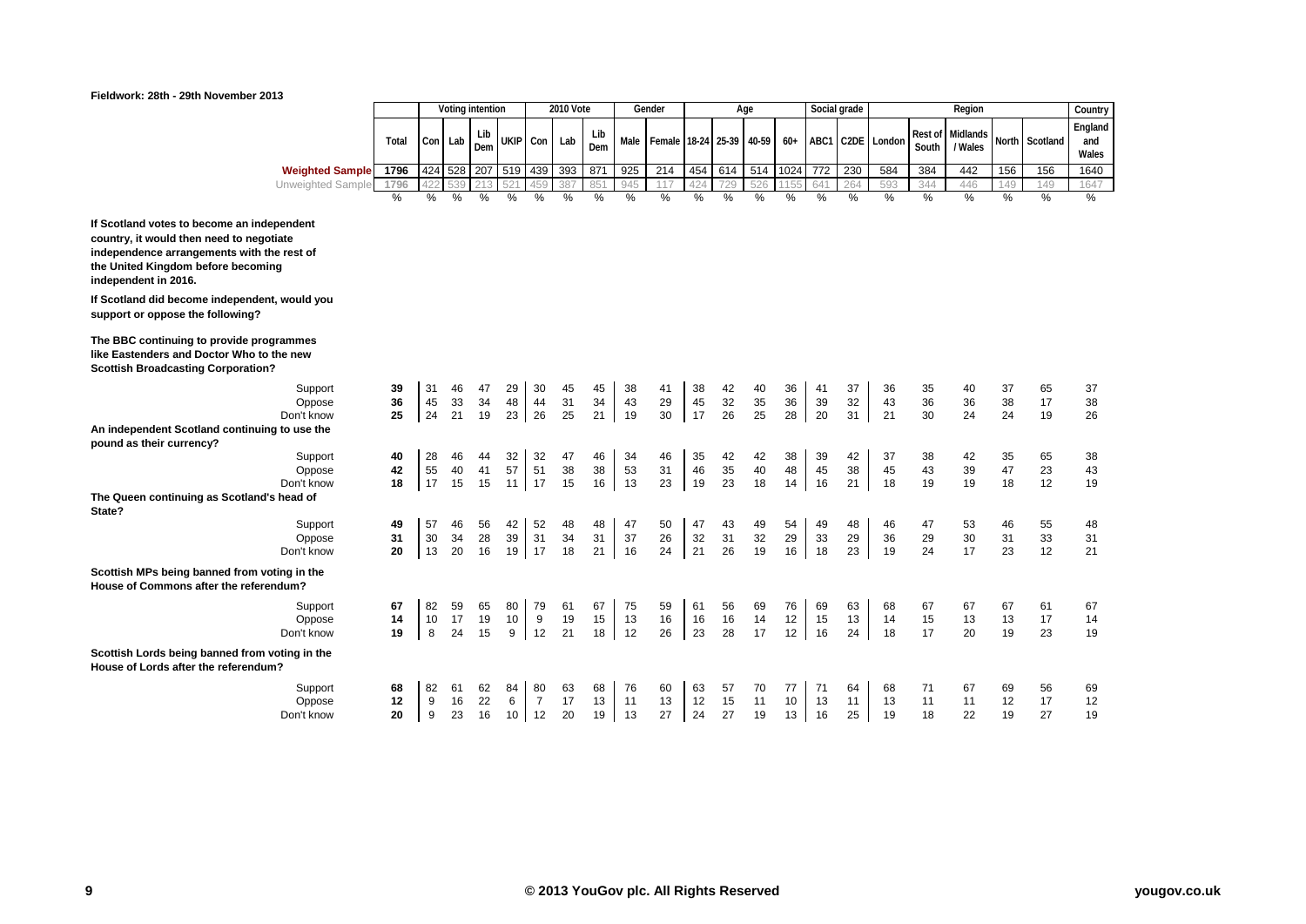

| Fieldwork: 28th - 29th November 2013                                                                                                                                                               |               |     |                  |               |          |                  |                  |                 |      |                    |     |        |       |       |     |              |        |                  |                     |      |                |                         |
|----------------------------------------------------------------------------------------------------------------------------------------------------------------------------------------------------|---------------|-----|------------------|---------------|----------|------------------|------------------|-----------------|------|--------------------|-----|--------|-------|-------|-----|--------------|--------|------------------|---------------------|------|----------------|-------------------------|
|                                                                                                                                                                                                    |               |     | Voting intention |               |          |                  | <b>2010 Vote</b> |                 |      | Gender             |     |        | Age   |       |     | Social grade |        |                  | Region              |      |                | Country                 |
|                                                                                                                                                                                                    | Total         |     | Con Lab          | Lib<br>Dem    | UKIP Con |                  | Lab              | Lib<br>Dem      | Male | Female 18-24 25-39 |     |        | 40-59 | $60+$ |     | ABC1 C2DE    | London | Rest of<br>South | Midlands<br>/ Wales |      | North Scotland | England<br>and<br>Wales |
| <b>Weighted Sample</b>                                                                                                                                                                             | 1796          | 424 | 528              | 207           | 519 439  |                  | 393              | 871             | 925  | 214                | 454 | 614    | 514   | 1024  | 772 | 230          | 584    | 384              | 442                 | 156  | 156            | 1640                    |
| Unweighted Sample                                                                                                                                                                                  | 1796          | 422 | 539              | 213           |          | 459              | 387              | 85 <sup>°</sup> | 945  | 117                | 424 | 729    | 526   |       |     | 264          | 593    | 344              | 446                 | 149  | 149            | 1647                    |
|                                                                                                                                                                                                    | $\frac{0}{0}$ | %   | %                | $\frac{0}{0}$ | %        | $\%$             | %                | %               | %    | $\%$               | %   | %      | $\%$  | %     | %   | $\%$         | %      | %                | $\frac{0}{0}$       | $\%$ | %              | $\%$                    |
| If Scotland votes to become an independent<br>country, it would then need to negotiate<br>independence arrangements with the rest of<br>the United Kingdom before becoming<br>independent in 2016. |               |     |                  |               |          |                  |                  |                 |      |                    |     |        |       |       |     |              |        |                  |                     |      |                |                         |
| If Scotland did become independent, would you<br>support or oppose the following?                                                                                                                  |               |     |                  |               |          |                  |                  |                 |      |                    |     |        |       |       |     |              |        |                  |                     |      |                |                         |
| The BBC continuing to provide programmes<br>like Eastenders and Doctor Who to the new<br><b>Scottish Broadcasting Corporation?</b>                                                                 |               |     |                  |               |          |                  |                  |                 |      |                    |     |        |       |       |     |              |        |                  |                     |      |                |                         |
| Support                                                                                                                                                                                            | 39            | 31  | 46               | 47            | 29       | 30               | 45               | 45              | 38   | 41                 | 38  | 42     | 40    | 36    | 41  | 37           | 36     | 35               | 40                  | 37   | 65             | 37                      |
| Oppose                                                                                                                                                                                             | 36            | 45  | 33               | 34            | 48       | 44               | 31               | 34              | 43   | 29                 | 45  | 32     | 35    | 36    | 39  | 32           | 43     | 36               | 36                  | 38   | 17             | 38                      |
| Don't know                                                                                                                                                                                         | 25            | 24  | 21               | 19            | 23       | 26               | 25               | 21              | 19   | 30                 | 17  | 26     | 25    | 28    | 20  | 31           | 21     | 30               | 24                  | 24   | 19             | 26                      |
| An independent Scotland continuing to use the                                                                                                                                                      |               |     |                  |               |          |                  |                  |                 |      |                    |     |        |       |       |     |              |        |                  |                     |      |                |                         |
| pound as their currency?<br>Support                                                                                                                                                                | 40            | 28  | 46               | 44            | 32       | 32               | 47               | 46              | 34   | 46                 | 35  | 42     | 42    | 38    | 39  | 42           | 37     | 38               | 42                  | 35   | 65             | 38                      |
| Oppose                                                                                                                                                                                             | 42            | 55  | 40               | 41            | 57       | 51               | 38               | 38              | 53   | 31                 | 46  | $35\,$ | 40    | 48    | 45  | 38           | 45     | 43               | 39                  | 47   | 23             | 43                      |
| Don't know                                                                                                                                                                                         | 18            | 17  | 15               | 15            |          | $11$ 17          | 15               | 16              | 13   | 23                 | 19  | 23     | 18    | 14    | 16  | 21           | 18     | 19               | 19                  | 18   | 12             | 19                      |
| The Queen continuing as Scotland's head of                                                                                                                                                         |               |     |                  |               |          |                  |                  |                 |      |                    |     |        |       |       |     |              |        |                  |                     |      |                |                         |
| State?                                                                                                                                                                                             |               |     |                  |               |          |                  |                  |                 |      |                    |     |        |       |       |     |              |        |                  |                     |      |                |                         |
| Support                                                                                                                                                                                            | 49            | 57  | 46               | 56            | 42       | 52               | 48               | 48              | 47   | 50                 | 47  | 43     | 49    | 54    | 49  | 48           | 46     | 47               | 53                  | 46   | 55             | 48                      |
| Oppose                                                                                                                                                                                             | 31            | 30  | 34               | 28            | 39       | 31               | 34               | 31              | 37   | 26                 | 32  | 31     | 32    | 29    | 33  | 29           | 36     | 29               | 30                  | 31   | 33             | 31                      |
| Don't know                                                                                                                                                                                         | 20            | 13  | 20               | 16            | 19       | 17               | 18               | 21              | 16   | 24                 | 21  | 26     | 19    | 16    | 18  | 23           | 19     | 24               | 17                  | 23   | 12             | 21                      |
| Scottish MPs being banned from voting in the<br>House of Commons after the referendum?                                                                                                             |               |     |                  |               |          |                  |                  |                 |      |                    |     |        |       |       |     |              |        |                  |                     |      |                |                         |
| Support                                                                                                                                                                                            | 67            | 82  | 59               | 65            | 80       | 79               | 61               | 67              | 75   | 59                 | 61  | 56     | 69    | 76    | 69  | 63           | 68     | 67               | 67                  | 67   | 61             | 67                      |
| Oppose                                                                                                                                                                                             | 14            | 10  | 17               | 19            | 10       | $\boldsymbol{9}$ | 19               | 15              | 13   | 16                 | 16  | 16     | 14    | 12    | 15  | 13           | 14     | 15               | 13                  | 13   | 17             | 14                      |
| Don't know                                                                                                                                                                                         | 19            | 8   | 24               | 15            |          | $9$ 12           | 21               | 18              | 12   | 26                 | 23  | 28     | 17    | 12    | 16  | 24           | 18     | 17               | 20                  | 19   | 23             | 19                      |
| Scottish Lords being banned from voting in the<br>House of Lords after the referendum?                                                                                                             |               |     |                  |               |          |                  |                  |                 |      |                    |     |        |       |       |     |              |        |                  |                     |      |                |                         |
| Support                                                                                                                                                                                            | 68            | 82  | 61               | 62            | 84       | 80               | 63               | 68              | 76   | 60                 | 63  | 57     | 70    | 77    | 71  | 64           | 68     | 71               | 67                  | 69   | 56             | 69                      |
| Oppose                                                                                                                                                                                             | 12            | 9   | 16               | 22            | 6        | $\overline{7}$   | 17               | 13              | 11   | 13                 | 12  | 15     | 11    | 10    | 13  | 11           | 13     | 11               | 11                  | 12   | 17             | 12                      |
| Don't know                                                                                                                                                                                         | 20            | 9   | 23               | 16            | 10       | 12               | 20               | 19              | 13   | 27                 | 24  | 27     | 19    | 13    | 16  | 25           | 19     | 18               | 22                  | 19   | 27             | 19                      |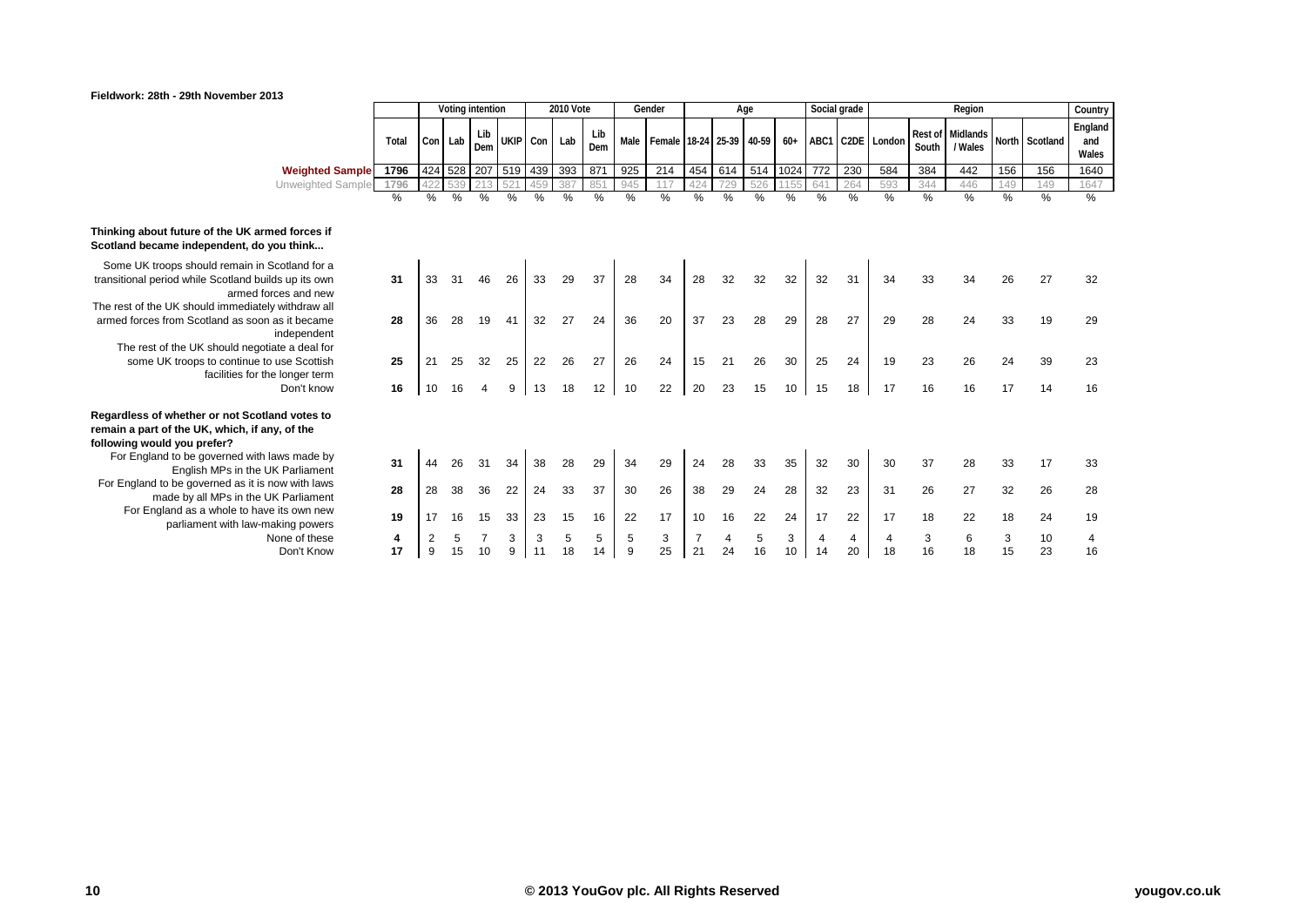

#### **Fieldwork: 28th - 29th November 2013**

|                                                                                                                                         |         |    |         | Voting intention |             |         | <b>2010 Vote</b> |            |        | Gender                        |      |         | Age     |         | Social grade |                      |                      |         | Region                      |         |                | Country                 |
|-----------------------------------------------------------------------------------------------------------------------------------------|---------|----|---------|------------------|-------------|---------|------------------|------------|--------|-------------------------------|------|---------|---------|---------|--------------|----------------------|----------------------|---------|-----------------------------|---------|----------------|-------------------------|
|                                                                                                                                         | Total   |    | Con Lab | Lib<br>Dem       | UKIP Con    |         | Lab              | Lib<br>Dem |        | Male Female 18-24 25-39 40-59 |      |         |         |         |              |                      | 60+ ABC1 C2DE London | South   | Rest of Midlands<br>/ Wales |         | North Scotland | England<br>and<br>Wales |
| <b>Weighted Sample</b>                                                                                                                  | 1796    |    | 424 528 |                  | 207 519 439 |         | 393              | 871        | 925    | 214                           | 454  | 614     | 514     | 1024    | 772          | 230                  | 584                  | 384     | 442                         | 156     | 156            | 1640                    |
| Unweighted Sample                                                                                                                       | 1796    |    |         |                  | 52          | 459     | 387              | 85         | 945    | 117                           | 424  | 29      | 526     |         | 641          | 264                  | 593                  | 344     | 446                         | 149     | 149            | 1647                    |
|                                                                                                                                         | %       | %  | $\%$    | $\%$             | %           | %       | %                | $\%$       | $\%$   | $\%$                          | $\%$ | %       | $\%$    | %       | %            | $\frac{0}{0}$        | %                    | $\%$    | %                           | $\%$    | $\frac{9}{6}$  | $\frac{9}{6}$           |
| out future of the UK armed forces if<br>came independent, do you think                                                                  |         |    |         |                  |             |         |                  |            |        |                               |      |         |         |         |              |                      |                      |         |                             |         |                |                         |
| troops should remain in Scotland for a<br>beriod while Scotland builds up its own<br>armed forces and new                               | 31      |    |         |                  | 26          | 33      | 29               | 37         | 28     | 34                            | 28   | 32      | 32      | 32      | 32           | 31                   | 34                   | 33      | 34                          | 26      | 27             | 32                      |
| he UK should immediately withdraw all<br>s from Scotland as soon as it became<br>independent<br>t of the UK should negotiate a deal for | 28      | 36 | 28      | 19               | 41          | 32      | 27               | 24         | 36     | 20                            | 37   | 23      | 28      | 29      | 28           | 27                   | 29                   | 28      | 24                          | 33      | 19             | 29                      |
| UK troops to continue to use Scottish<br>facilities for the longer term                                                                 | 25      | 21 | 25      | 32               | 25          | 22      | 26               | 27         | 26     | 24                            | 15   | 21      | 26      | 30      | 25           | 24                   | 19                   | 23      | 26                          | 24      | 39             | 23                      |
| Don't know                                                                                                                              | 16      | 10 | 16      |                  | 9           | 13      | 18               | 12         | 10     | 22                            | 20   | 23      | 15      | 10      | 15           | 18                   | 17                   | 16      | 16                          | 17      | 14             | 16                      |
| of whether or not Scotland votes to<br>rt of the UK, which, if any, of the<br>ould you prefer?                                          |         |    |         |                  |             |         |                  |            |        |                               |      |         |         |         |              |                      |                      |         |                             |         |                |                         |
| and to be governed with laws made by<br>English MPs in the UK Parliament                                                                | 31      | 44 | 26      | 31               | 34          | 38      | 28               | 29         | 34     | 29                            | 24   | 28      | 33      | 35      | 32           | 30                   | 30                   | 37      | 28                          | 33      | 17             | 33                      |
| d to be governed as it is now with laws<br>made by all MPs in the UK Parliament                                                         | 28      | 28 | 38      | 36               | 22          | 24      | 33               | 37         | 30     | 26                            | 38   | 29      | 24      | 28      | 32           | 23                   | 31                   | 26      | 27                          | 32      | 26             | 28                      |
| ngland as a whole to have its own new<br>parliament with law-making powers                                                              | 19      | 17 | 16      | 15               | 33          | 23      | 15               | 16         | 22     | 17                            | 10   | 16      | 22      | 24      | 17           | 22                   | 17                   | 18      | 22                          | 18      | 24             | 19                      |
| None of these<br>Don't Know                                                                                                             | 4<br>17 | 9  | 15      | 10               | 3<br>9      | 3<br>11 | 5<br>18          | 5<br>14    | 5<br>9 | 3<br>25                       | 21   | 4<br>24 | 5<br>16 | 3<br>10 | 4<br>14      | $\overline{4}$<br>20 | 4<br>18              | 3<br>16 | 6<br>18                     | 3<br>15 | 10<br>23       | 4<br>16                 |
|                                                                                                                                         |         |    |         |                  |             |         |                  |            |        |                               |      |         |         |         |              |                      |                      |         |                             |         |                |                         |

# Thinking about future of the UK **Scotland became independent, d**

- Some UK troops should remain transitional period while Scotland armed
- The rest of the UK should immedia armed forces from Scotland as so

The rest of the UK should ned some UK troops to continue facilities for

### **Regardless of whether or not Scotland 8** remain a part of the UK, which, if **following would you prefer?**

For England to be governed with English MPs in the For England to be governed as it<br>made by all MPs in the For England as a whole to h<br>parliament with law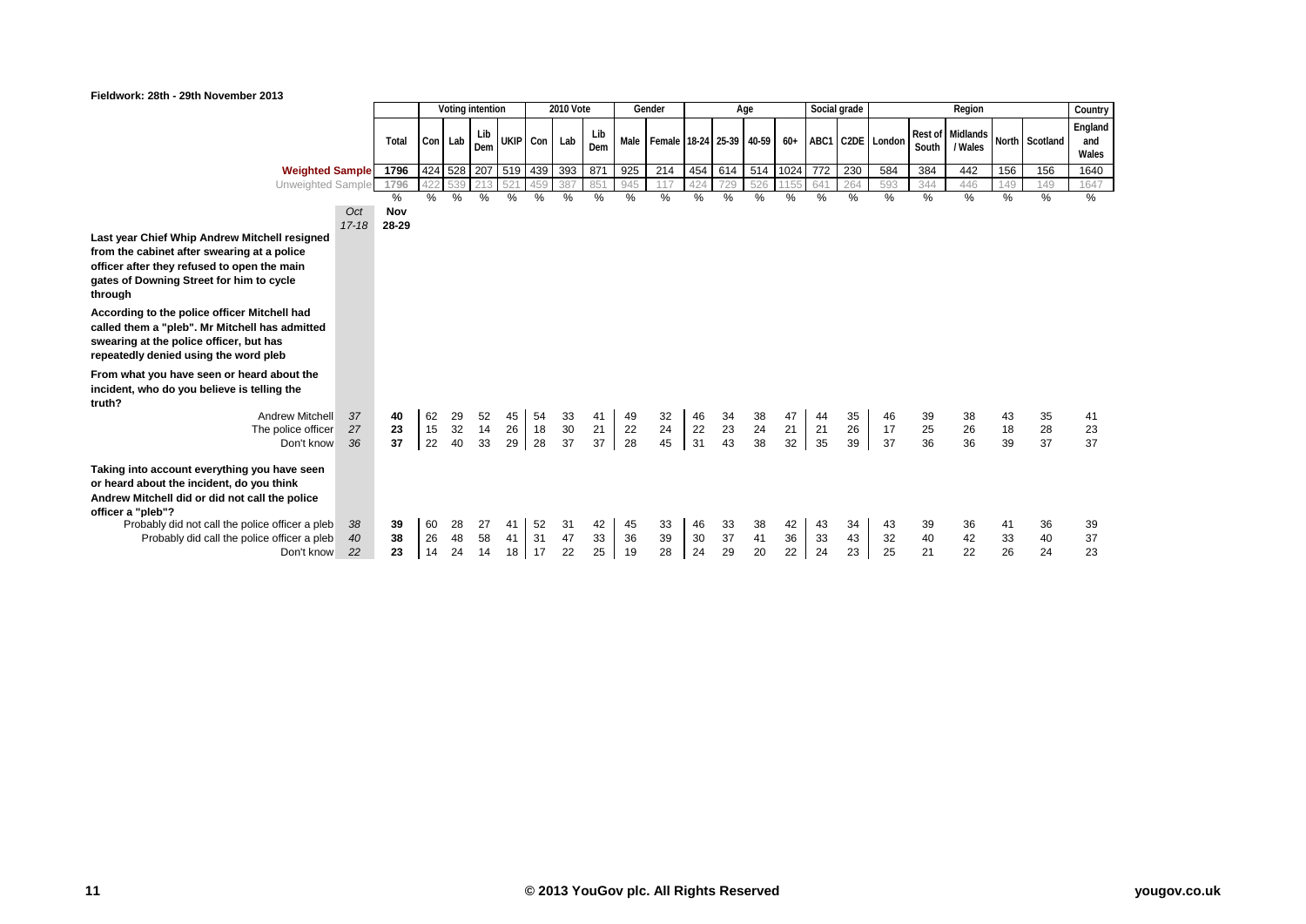

| Fieldwork: 28th - 29th November 2013                                                                                                                                                                                                                                             |                  |                   |                |                  |                |                     |                |                    |                |                |                               |                 |                |                       |                |                |                |                  |                |                             |                |                |                         |
|----------------------------------------------------------------------------------------------------------------------------------------------------------------------------------------------------------------------------------------------------------------------------------|------------------|-------------------|----------------|------------------|----------------|---------------------|----------------|--------------------|----------------|----------------|-------------------------------|-----------------|----------------|-----------------------|----------------|----------------|----------------|------------------|----------------|-----------------------------|----------------|----------------|-------------------------|
|                                                                                                                                                                                                                                                                                  |                  |                   |                | Voting intention |                |                     |                | <b>2010 Vote</b>   |                |                | Gender                        |                 |                | Age                   |                |                | Social grade   |                  |                | Region                      |                |                | Country                 |
|                                                                                                                                                                                                                                                                                  |                  | Total             | Con Lab        |                  | Lib<br>Dem     | UKIP Con            |                | Lab                | Lib<br>Dem     |                | Male Female 18-24 25-39 40-59 |                 |                |                       | $60+$          |                |                | ABC1 C2DE London | South          | Rest of Midlands<br>/ Wales |                | North Scotland | England<br>and<br>Wales |
| <b>Weighted Sample</b>                                                                                                                                                                                                                                                           |                  | 1796              |                |                  |                | 424 528 207 519 439 |                | 393                | 871            | 925            | 214                           | 454             | 614            | 514 1024              |                | 772            | 230            | 584              | 384            | 442                         | 156            | 156            | 1640                    |
| Unweighted Sample                                                                                                                                                                                                                                                                |                  | 1796              | 422            |                  |                | 521                 | 459            | 387                | 85'            | 945            | 117                           | 42 <sub>4</sub> |                | 526                   |                | 64             | 264            | 593              | 344            | 446                         | 149            | 149            | 1647                    |
|                                                                                                                                                                                                                                                                                  | Oct<br>$17 - 18$ | %<br>Nov<br>28-29 | $\%$           | $\%$             | %              | %                   | %              | %                  | %              | %              | %                             | %               | %              | %                     | %              | %              | %              | %                | %              | %                           | %              | %              | %                       |
| Last year Chief Whip Andrew Mitchell resigned<br>from the cabinet after swearing at a police<br>officer after they refused to open the main<br>gates of Downing Street for him to cycle<br>through                                                                               |                  |                   |                |                  |                |                     |                |                    |                |                |                               |                 |                |                       |                |                |                |                  |                |                             |                |                |                         |
| According to the police officer Mitchell had<br>called them a "pleb". Mr Mitchell has admitted<br>swearing at the police officer, but has<br>repeatedly denied using the word pleb                                                                                               |                  |                   |                |                  |                |                     |                |                    |                |                |                               |                 |                |                       |                |                |                |                  |                |                             |                |                |                         |
| From what you have seen or heard about the<br>incident, who do you believe is telling the<br>truth?<br><b>Andrew Mitchell</b><br>The police officer<br>Don't know                                                                                                                | 37<br>27<br>36   | 40<br>23<br>37    | 62<br>15<br>22 | 29<br>32<br>40   | 52<br>14<br>33 | 45<br>26<br>29      | 54<br>18<br>28 | 33<br>$30\,$<br>37 | 41<br>21<br>37 | 49<br>22<br>28 | 32<br>24<br>45                | 46<br>22<br>31  | 34<br>23<br>43 | $\frac{38}{24}$<br>38 | 47<br>21<br>32 | 44<br>21<br>35 | 35<br>26<br>39 | 46<br>17<br>37   | 39<br>25<br>36 | 38<br>26<br>36              | 43<br>18<br>39 | 35<br>28<br>37 | 41<br>23<br>37          |
| Taking into account everything you have seen<br>or heard about the incident, do you think<br>Andrew Mitchell did or did not call the police<br>officer a "pleb"?<br>Probably did not call the police officer a pleb<br>Probably did call the police officer a pleb<br>Don't know | 38<br>40<br>22   | 39<br>38<br>23    | 60<br>26<br>14 | 28<br>48<br>24   | 27<br>58<br>14 | 41<br>41<br>18 17   | 52<br>31       | 31<br>47<br>22     | 42<br>33<br>25 | 45<br>36<br>19 | 33<br>39<br>28                | 46<br>30<br>24  | 33<br>37<br>29 | 38<br>41<br>20        | 42<br>36<br>22 | 43<br>33<br>24 | 34<br>43<br>23 | 43<br>32<br>25   | 39<br>40<br>21 | 36<br>42<br>22              | 41<br>33<br>26 | 36<br>40<br>24 | 39<br>37<br>23          |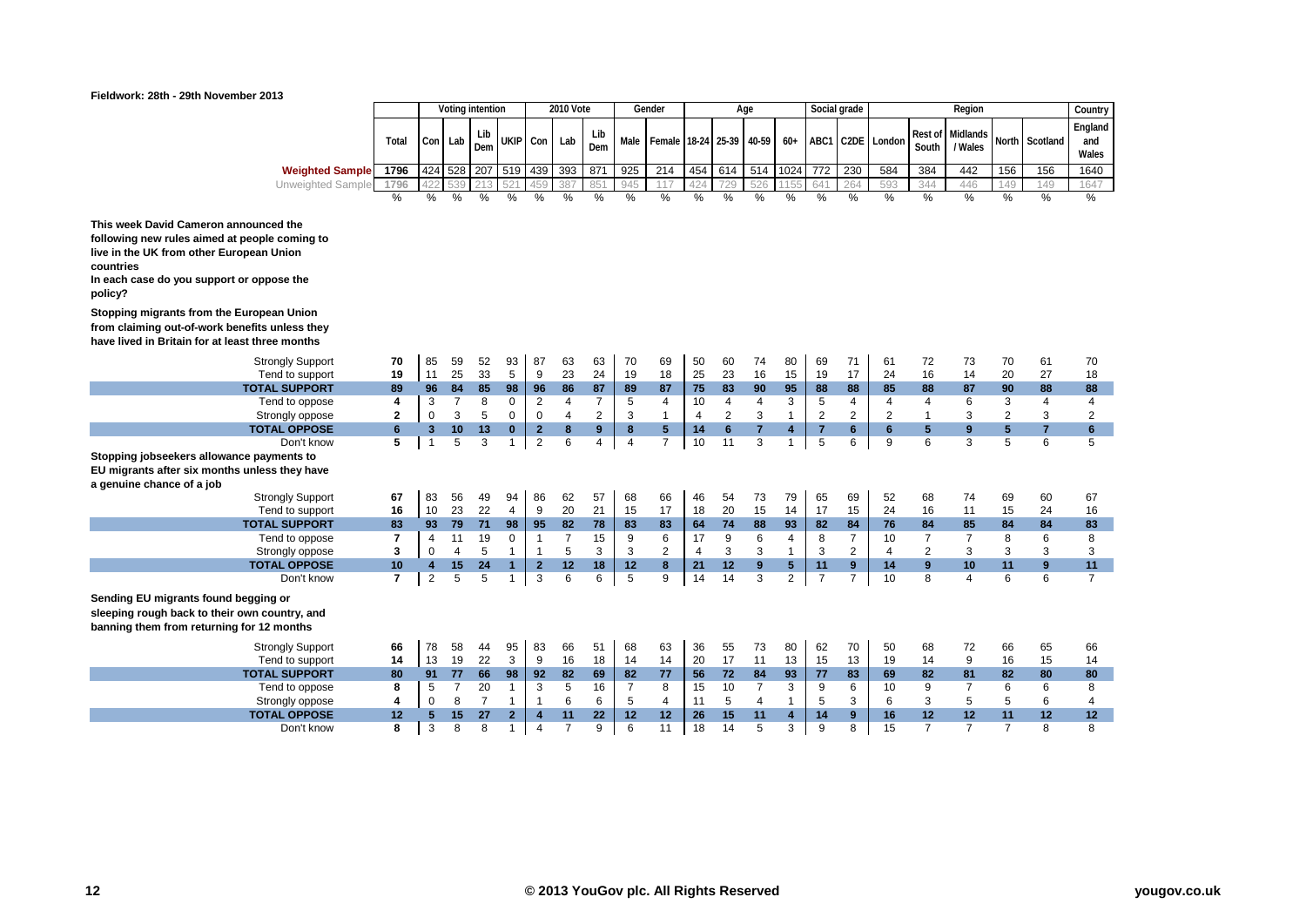

| Fieldwork: 28th - 29th November 2013 |  |  |  |  |  |
|--------------------------------------|--|--|--|--|--|
|--------------------------------------|--|--|--|--|--|

|                                                                                                                                                                                                         |                |                         | Voting intention |                |                |                | <b>2010 Vote</b> |                |                | Gender                   |     |                | Age            |                | Social grade   |                |                |                | Region         |                |                | Country        |
|---------------------------------------------------------------------------------------------------------------------------------------------------------------------------------------------------------|----------------|-------------------------|------------------|----------------|----------------|----------------|------------------|----------------|----------------|--------------------------|-----|----------------|----------------|----------------|----------------|----------------|----------------|----------------|----------------|----------------|----------------|----------------|
|                                                                                                                                                                                                         |                |                         |                  |                |                |                |                  |                |                |                          |     |                |                |                |                |                |                |                |                |                |                | England        |
|                                                                                                                                                                                                         | Total          | Con Lab                 |                  | Lib            |                | UKIP Con       | Lab              | Lib            | Male           | Female 18-24 25-39 40-59 |     |                |                | $60+$          | ABC1           |                | C2DE London    | <b>Rest of</b> | Midlands       |                | North Scotland | and            |
|                                                                                                                                                                                                         |                |                         |                  | Dem            |                |                |                  | Dem            |                |                          |     |                |                |                |                |                |                | South          | / Wales        |                |                | Wales          |
| <b>Weighted Sample</b>                                                                                                                                                                                  | 1796           | 424 528                 |                  |                |                | 207 519 439    | 393              | 871            | 925            | 214                      | 454 | 614            | 514            | 1024           | 772            | 230            | 584            | 384            | 442            | 156            | 156            | 1640           |
| Unweighted Sample                                                                                                                                                                                       | 1796           |                         |                  |                |                |                |                  | 85'            | 945            | 117                      | 424 | 729            | 526            |                | 641            | 264            | 593            | 344            | 446            | 149            | 149            | 1647           |
|                                                                                                                                                                                                         | %              | %                       | %                | %              | $\%$           | %              | %                | %              | %              | %                        | %   | %              | $\%$           | %              | %              | $\frac{0}{0}$  | $\%$           | $\%$           | $\%$           | %              | %              | %              |
| This week David Cameron announced the<br>following new rules aimed at people coming to<br>live in the UK from other European Union<br>countries<br>In each case do you support or oppose the<br>policy? |                |                         |                  |                |                |                |                  |                |                |                          |     |                |                |                |                |                |                |                |                |                |                |                |
| Stopping migrants from the European Union<br>from claiming out-of-work benefits unless they                                                                                                             |                |                         |                  |                |                |                |                  |                |                |                          |     |                |                |                |                |                |                |                |                |                |                |                |
| have lived in Britain for at least three months                                                                                                                                                         |                |                         |                  |                |                |                |                  |                |                |                          |     |                |                |                |                |                |                |                |                |                |                |                |
| <b>Strongly Support</b>                                                                                                                                                                                 | 70             | 85                      | 59               | 52             | 93             | 87             | 63               | 63             | 70             | 69                       | 50  | 60             | 74             | 80             | 69             | 71             | 61             | 72             | 73             | 70             | 61             | 70             |
| Tend to support                                                                                                                                                                                         | 19             | 11                      | 25               | 33             | 5              | 9              | 23               | 24             | 19             | 18                       | 25  | 23             | 16             | 15             | 19             | 17             | 24             | 16             | 14             | 20             | 27             | 18             |
| <b>TOTAL SUPPORT</b>                                                                                                                                                                                    | 89             | 96                      | 84               | 85             | 98             | 96             | 86               | 87             | 89             | 87                       | 75  | 83             | 90             | 95             | 88             | 88             | 85             | 88             | 87             | 90             | 88             | 88             |
| Tend to oppose                                                                                                                                                                                          | 4              | 3                       | $\overline{7}$   | 8              | $\mathbf 0$    | $\overline{2}$ | 4                | $\overline{7}$ | 5              | 4                        | 10  | $\overline{4}$ | 4              | 3              | 5              | 4              | $\overline{4}$ | $\overline{4}$ | 6              | 3              | 4              | $\overline{4}$ |
| Strongly oppose                                                                                                                                                                                         | 2              | $\mathbf 0$             | 3                | 5              | 0              | $\mathbf 0$    | 4                | $\overline{2}$ | 3              | $\mathbf{1}$             | 4   | $\overline{2}$ | 3              | $\mathbf{1}$   | $\overline{2}$ | $\overline{2}$ | $\overline{2}$ | $\overline{1}$ | 3              | $\overline{2}$ | 3              | 2              |
| <b>TOTAL OPPOSE</b>                                                                                                                                                                                     | 6              | $\mathbf{3}$            | 10               | 13             | $\bf{0}$       | $\mathbf{2}$   | 8                | 9              | $\bf{8}$       | 5                        | 14  | $6\phantom{1}$ | $\overline{7}$ | 4              | $\overline{7}$ | 6              | $6\phantom{1}$ | 5              | 9              | 5              | $\overline{7}$ | 6              |
| Don't know                                                                                                                                                                                              | 5              | 1                       | 5                | 3              | $\mathbf{1}$   | 2              | 6                | 4              | $\overline{4}$ | $\overline{7}$           | 10  | 11             | 3              | $\mathbf{1}$   | 5              | 6              | 9              | 6              | 3              | 5              | 6              | 5              |
| Stopping jobseekers allowance payments to<br>EU migrants after six months unless they have<br>a genuine chance of a job                                                                                 |                |                         |                  |                |                |                |                  |                |                |                          |     |                |                |                |                |                |                |                |                |                |                |                |
| <b>Strongly Support</b>                                                                                                                                                                                 | 67             | 83                      | 56               | 49             | 94             | 86             | 62               | 57             | 68             | 66                       | 46  | 54             | 73             | 79             | 65             | 69             | 52             | 68             | 74             | 69             | 60             | 67             |
| Tend to support                                                                                                                                                                                         | 16             | $10\,$                  | 23               | 22             | $\overline{4}$ | 9              | 20               | 21             | 15             | 17                       | 18  | 20             | 15             | 14             | 17             | 15             | 24             | 16             | 11             | 15             | 24             | 16             |
| <b>TOTAL SUPPORT</b>                                                                                                                                                                                    | 83             | 93                      | 79               | 71             | 98             | 95             | 82               | 78             | 83             | 83                       | 64  | 74             | 88             | 93             | 82             | 84             | 76             | 84             | 85             | 84             | 84             | 83             |
| Tend to oppose                                                                                                                                                                                          | $\overline{7}$ | 4                       | 11               | 19             | $\mathbf 0$    | $\mathbf{1}$   | $\overline{7}$   | 15             | 9              | 6                        | 17  | 9              | 6              | $\overline{4}$ | 8              | 7              | 10             | 7              | $\overline{7}$ | 8              | 6              | 8              |
| Strongly oppose                                                                                                                                                                                         | 3              | $\mathbf 0$             | $\overline{4}$   | 5              | $\mathbf{1}$   | $\mathbf{1}$   | 5                | 3              | 3              | $\overline{2}$           | 4   | 3              | 3              | $\mathbf{1}$   | 3              | $\overline{2}$ | 4              | $\overline{2}$ | 3              | 3              | 3              | 3              |
| <b>TOTAL OPPOSE</b>                                                                                                                                                                                     | 10             | $\overline{\mathbf{4}}$ | 15               | 24             | 1              | $\mathbf{2}$   | 12               | 18             | 12             | 8                        | 21  | 12             | 9              | 5              | 11             | 9              | 14             | 9              | 10             | 11             | 9              | 11             |
| Don't know                                                                                                                                                                                              | 7              | $\overline{2}$          | 5                | 5              | $\mathbf{1}$   | 3              | 6                | 6              | 5              | 9                        | 14  | 14             | 3              | $\overline{2}$ | $\overline{7}$ | $\overline{7}$ | 10             | 8              | $\overline{4}$ | 6              | 6              | $\overline{7}$ |
| Sending EU migrants found begging or<br>sleeping rough back to their own country, and<br>banning them from returning for 12 months                                                                      |                |                         |                  |                |                |                |                  |                |                |                          |     |                |                |                |                |                |                |                |                |                |                |                |
| <b>Strongly Support</b>                                                                                                                                                                                 | 66             | 78                      | 58               | 44             | 95             | 83             | 66               | 51             | 68             | 63                       | 36  | 55             | 73             | 80             | 62             | 70             | 50             | 68             | 72             | 66             | 65             | 66             |
| Tend to support                                                                                                                                                                                         | 14             | 13                      | 19               | 22             | 3              | 9              | 16               | 18             | 14             | 14                       | 20  | 17             | 11             | 13             | 15             | 13             | 19             | 14             | 9              | 16             | 15             | 14             |
| <b>TOTAL SUPPORT</b>                                                                                                                                                                                    | 80             | 91                      | 77               | 66             | 98             | 92             | 82               | 69             | 82             | 77                       | 56  | 72             | 84             | 93             | 77             | 83             | 69             | 82             | 81             | 82             | 80             | 80             |
| Tend to oppose                                                                                                                                                                                          | 8              | 5                       | $\overline{7}$   | 20             | $\overline{1}$ | 3              | 5                | 16             | $\overline{7}$ | 8                        | 15  | 10             | $\overline{7}$ | 3              | 9              | 6              | 10             | 9              | $\overline{7}$ | 6              | 6              | 8              |
| Strongly oppose                                                                                                                                                                                         | 4              | $\mathbf 0$             | 8                | $\overline{7}$ | $\mathbf{1}$   | $\mathbf{1}$   | 6                | 6              | 5              | $\overline{4}$           | 11  | 5              | $\overline{4}$ | $\mathbf{1}$   | 5              | 3              | 6              | 3              | 5              | 5              | 6              | 4              |
| <b>TOTAL OPPOSE</b>                                                                                                                                                                                     | 12             | 5                       | 15               | 27             | $\mathbf{2}$   | $\overline{4}$ | 11               | 22             | 12             | 12                       | 26  | 15             | 11             | 4              | 14             | 9              | 16             | 12             | 12             | 11             | 12             | 12             |
| Don't know                                                                                                                                                                                              | 8              | 3                       | 8                | 8              | $\mathbf{1}$   | 4              | $\overline{7}$   | 9              | 6              | 11                       | 18  | 14             | 5              | 3              | 9              | 8              | 15             | $\overline{7}$ | $\overline{7}$ | $\overline{7}$ | 8              | 8              |